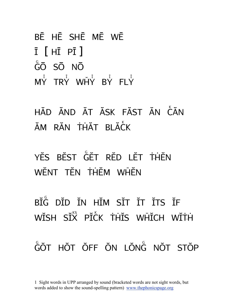```
BĒ HĒ SHĒ MĒ WĒ
\overline{I} \overline{I} \overline{H} \overline{PI} \overline{I}GŌ SŌ NŌ
M_Y^{\overline{i}} try why by fly
```
HĂD ĂND ĂT ĂSK FĂST ĂN CĂN ĂM RĂN THĂT BLĂCK

YĔS BĔST GET RED LET THEN WĚNT TĚN THĚM WHĚN

BIG DID IN HIM SIT IT ITS IF WĬSH SĬX PĬCK THĬS WHICH WĬTH GỐT HỐT ỐFF ŎN LỐNG NỐT STỐP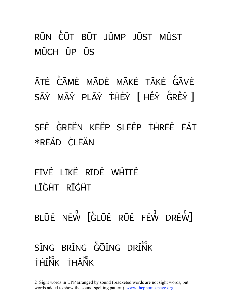RŬN CUT BŬT JŬMP JŬST MŬST MŬCH ŬP ŬS

ĀTĚ CAMĚ MĀDĚ MĀKĚ TĀKĚ GAVĚ  $S\bar{A}\v Y$  mā $\v Y$  plā $\v Y$  the $\v Y$   $\vd F$  he $\v Y$  gre $\v Y$  ]

SĒĚ GRĒĚN KĒĚP SLĒĚP THREĚ ĒĂT  $*R\bar{F}\tilde{A}D$  CI  $\bar{F}\tilde{A}N$ 

FĪVĒ LĪKĒ RĪDĒ WHĪTĒ LĪĞĤT RĪĞĤT

BLŪĚ NĚW [GLŪĚ RŪĚ FĚW DRĚW]  $S\tilde{T}NG$  br $\tilde{T}NG$   $\tilde{G}\tilde{O}\tilde{T}NG$  dr $\tilde{T}NG$ **THINK THANK**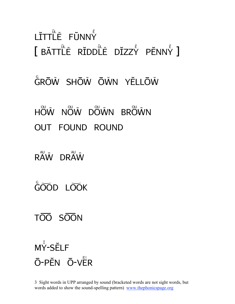## I ŤTTI F. FŬNNY  $\int$  băttle riddle dizzy penny ]

#### GRŌŴ SHŌŴ ŌŴN YĔLLŌŴ

# HOW NOW DOWN BROWN

- OUT FOUND ROUND
- RAW DRAW
- GOOD LOOK

#### TOO SOON

#### $M\bar{Y}$ -SFIF  $\bar{O}$ -PEN  $\bar{O}$ -VER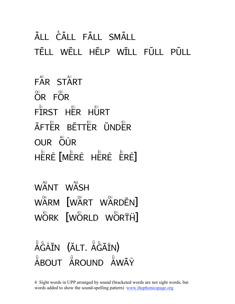#### ÂII CÂLL FÂLL SMÂLL TĔLL WĔLL HĔLP WĬLL FŬLL PŬLL

 $F\overset{AR}{AR}$  START  $\overline{OR}$  FOR  $F^{\text{fr}}$ RST H $\text{F}$ RR HURT ĂFTER BETTER UNDER OUR OUR HÊRÊ **[**MÊRÊ HÊRÊ ÊRÊ]

WANT WASH WARM [WART WARDEN] WÖRK [WÖRLD WÖRTH]

ĂĞÃĬN (ĂLT. ĂĞĀĬN) ĂBOUT ĂROUND ĂWĀÝ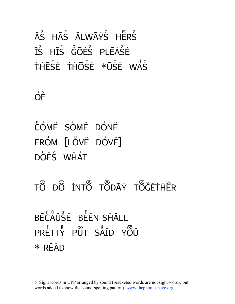#### ĂS HĂS ĂLWĀÝS HERS IS HIS GOES PLEASE THESE THOSE \*USE WAS

 $\breve{\mathsf{O}}\breve{\mathsf{F}}$ 

- COME SOME DONE FROM [LOVE DOVE] DOFS WHAT
- TÔ DÔ ĬNTÔ TÔDĀÝ TÔGETHER

### BĒCAUSE BEEN SHALL PRETTY PUT SAID YOU  $*$  READ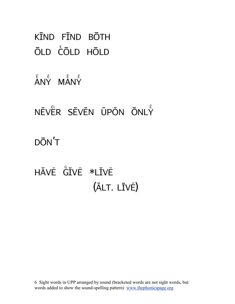KĪND FĪND BŌTH Old cOld hOld

ĂNY MĂNY

NĚVER SĚVĚN ŬPŎN ŌNLY DŌN'T

HĂVĚ GIVĚ \*LIVĚ (ALT. LĪVĒ)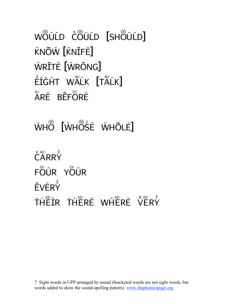WŐŨĹD ĆŐŨĹD [SHŐŨĹD] KNŌŴ [KNĪFĚ] ŴŖĪTĚ [ŴŖŎNG]  $\tilde{\tilde{\mathsf{E}}} \tilde{\mathsf{I}} \tilde{\mathsf{G}} \tilde{\mathsf{H}} \mathsf{T}$  Walk  $[\mathsf{T} \tilde{\mathsf{A}} \tilde{\mathsf{L}} \mathsf{K}]$ ÅRĚ BĒFÖRĚ

ŴHO [ŴHOSE ŴHŌLĚ]

 $\overset{\kappa}{C}$ ARRY FÖŨR YÖŨR  $\check{\mathsf{E}}\mathsf{V}\check{\mathsf{E}}\mathsf{R}\check{\mathsf{Y}}$ THEIR THERE WHERE VERY